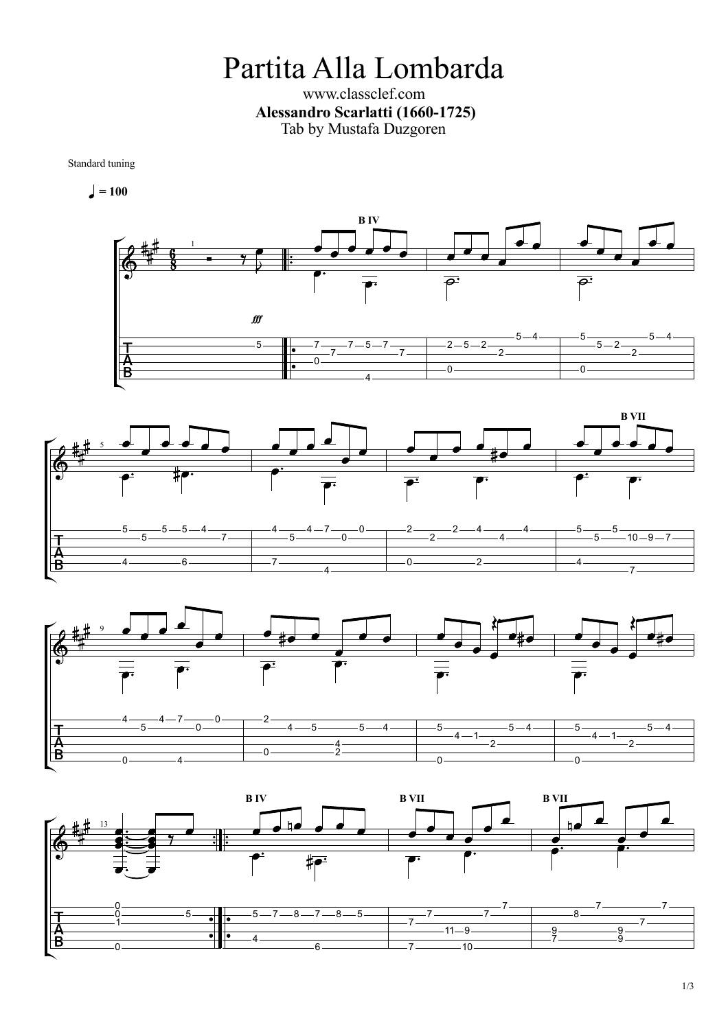## Partita Alla Lombarda

www.classclef.com **Alessandro Scarlatti (1660-1725)** Tab by Mustafa Duzgoren

Standard tuning

 $\frac{1}{2} = 100$ 







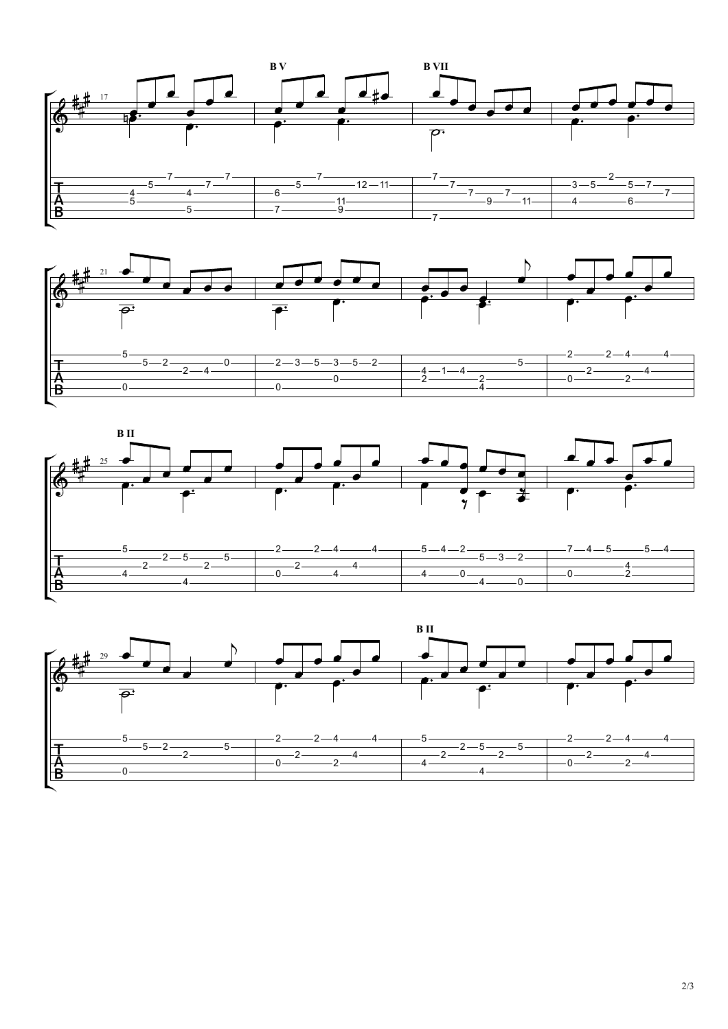